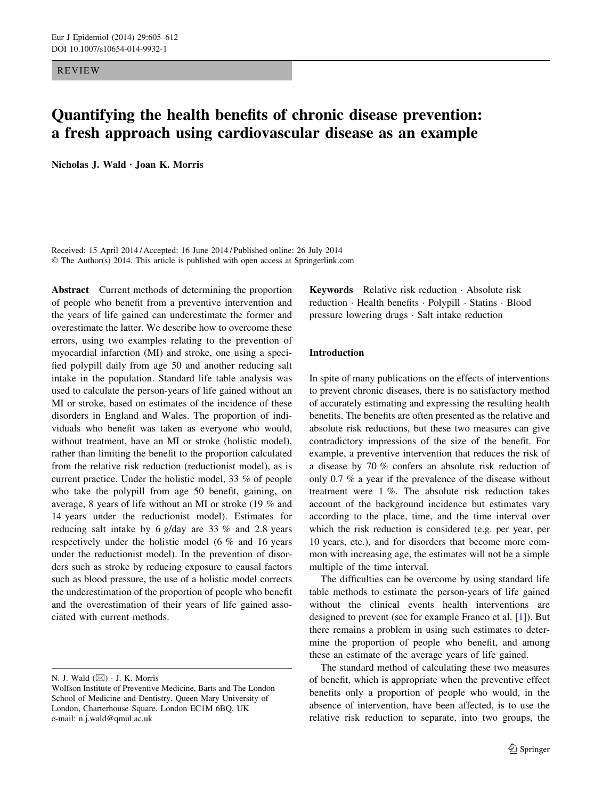REVIEW

# Quantifying the health benefits of chronic disease prevention: a fresh approach using cardiovascular disease as an example

Nicholas J. Wald • Joan K. Morris

Received: 15 April 2014 / Accepted: 16 June 2014 / Published online: 26 July 2014 © The Author(s) 2014. This article is published with open access at Springerlink.com

Abstract Current methods of determining the proportion of people who benefit from a preventive intervention and the years of life gained can underestimate the former and overestimate the latter. We describe how to overcome these errors, using two examples relating to the prevention of myocardial infarction (MI) and stroke, one using a specified polypill daily from age 50 and another reducing salt intake in the population. Standard life table analysis was used to calculate the person-years of life gained without an MI or stroke, based on estimates of the incidence of these disorders in England and Wales. The proportion of individuals who benefit was taken as everyone who would, without treatment, have an MI or stroke (holistic model), rather than limiting the benefit to the proportion calculated from the relative risk reduction (reductionist model), as is current practice. Under the holistic model, 33 % of people who take the polypill from age 50 benefit, gaining, on average, 8 years of life without an MI or stroke (19 % and 14 years under the reductionist model). Estimates for reducing salt intake by 6 g/day are 33 % and 2.8 years respectively under the holistic model (6 % and 16 years under the reductionist model). In the prevention of disorders such as stroke by reducing exposure to causal factors such as blood pressure, the use of a holistic model corrects the underestimation of the proportion of people who benefit and the overestimation of their years of life gained associated with current methods.

Keywords Relative risk reduction - Absolute risk reduction - Health benefits - Polypill - Statins - Blood pressure lowering drugs - Salt intake reduction

## Introduction

In spite of many publications on the effects of interventions to prevent chronic diseases, there is no satisfactory method of accurately estimating and expressing the resulting health benefits. The benefits are often presented as the relative and absolute risk reductions, but these two measures can give contradictory impressions of the size of the benefit. For example, a preventive intervention that reduces the risk of a disease by 70 % confers an absolute risk reduction of only 0.7 % a year if the prevalence of the disease without treatment were 1 %. The absolute risk reduction takes account of the background incidence but estimates vary according to the place, time, and the time interval over which the risk reduction is considered (e.g. per year, per 10 years, etc.), and for disorders that become more common with increasing age, the estimates will not be a simple multiple of the time interval.

The difficulties can be overcome by using standard life table methods to estimate the person-years of life gained without the clinical events health interventions are designed to prevent (see for example Franco et al. [\[1](#page-7-0)]). But there remains a problem in using such estimates to determine the proportion of people who benefit, and among these an estimate of the average years of life gained.

The standard method of calculating these two measures of benefit, which is appropriate when the preventive effect benefits only a proportion of people who would, in the absence of intervention, have been affected, is to use the relative risk reduction to separate, into two groups, the

N. J. Wald  $(\boxtimes) \cdot$  J. K. Morris

Wolfson Institute of Preventive Medicine, Barts and The London School of Medicine and Dentistry, Queen Mary University of London, Charterhouse Square, London EC1M 6BQ, UK e-mail: n.j.wald@qmul.ac.uk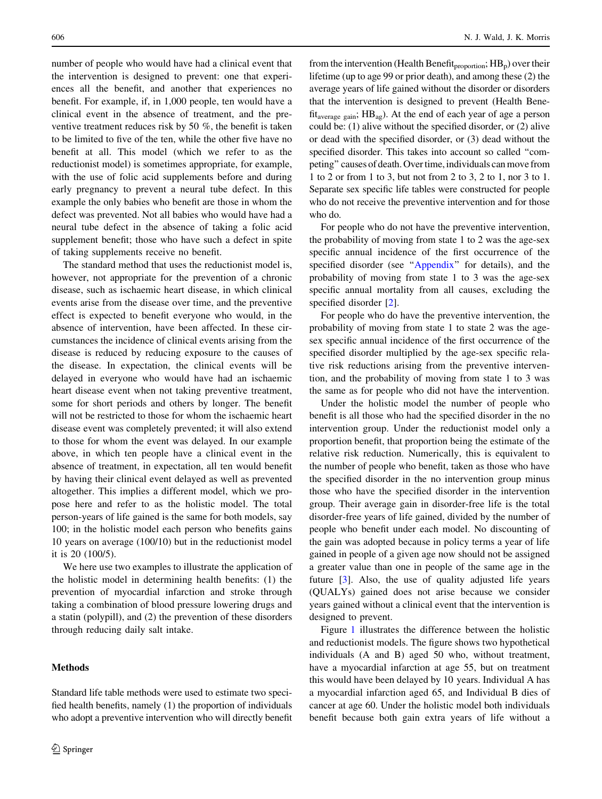number of people who would have had a clinical event that the intervention is designed to prevent: one that experiences all the benefit, and another that experiences no benefit. For example, if, in 1,000 people, ten would have a clinical event in the absence of treatment, and the preventive treatment reduces risk by 50 %, the benefit is taken to be limited to five of the ten, while the other five have no benefit at all. This model (which we refer to as the reductionist model) is sometimes appropriate, for example, with the use of folic acid supplements before and during early pregnancy to prevent a neural tube defect. In this example the only babies who benefit are those in whom the defect was prevented. Not all babies who would have had a neural tube defect in the absence of taking a folic acid supplement benefit; those who have such a defect in spite of taking supplements receive no benefit.

The standard method that uses the reductionist model is, however, not appropriate for the prevention of a chronic disease, such as ischaemic heart disease, in which clinical events arise from the disease over time, and the preventive effect is expected to benefit everyone who would, in the absence of intervention, have been affected. In these circumstances the incidence of clinical events arising from the disease is reduced by reducing exposure to the causes of the disease. In expectation, the clinical events will be delayed in everyone who would have had an ischaemic heart disease event when not taking preventive treatment, some for short periods and others by longer. The benefit will not be restricted to those for whom the ischaemic heart disease event was completely prevented; it will also extend to those for whom the event was delayed. In our example above, in which ten people have a clinical event in the absence of treatment, in expectation, all ten would benefit by having their clinical event delayed as well as prevented altogether. This implies a different model, which we propose here and refer to as the holistic model. The total person-years of life gained is the same for both models, say 100; in the holistic model each person who benefits gains 10 years on average (100/10) but in the reductionist model it is 20 (100/5).

We here use two examples to illustrate the application of the holistic model in determining health benefits: (1) the prevention of myocardial infarction and stroke through taking a combination of blood pressure lowering drugs and a statin (polypill), and (2) the prevention of these disorders through reducing daily salt intake.

#### Methods

Standard life table methods were used to estimate two specified health benefits, namely (1) the proportion of individuals who adopt a preventive intervention who will directly benefit from the intervention (Health Benefit<sub>proportion</sub>;  $HB_p$ ) over their lifetime (up to age 99 or prior death), and among these (2) the average years of life gained without the disorder or disorders that the intervention is designed to prevent (Health Benefit<sub>average gain</sub>; HB<sub>ag</sub>). At the end of each year of age a person could be: (1) alive without the specified disorder, or (2) alive or dead with the specified disorder, or (3) dead without the specified disorder. This takes into account so called ''competing'' causes of death. Over time, individuals can move from 1 to 2 or from 1 to 3, but not from 2 to 3, 2 to 1, nor 3 to 1. Separate sex specific life tables were constructed for people who do not receive the preventive intervention and for those who do.

For people who do not have the preventive intervention, the probability of moving from state 1 to 2 was the age-sex specific annual incidence of the first occurrence of the specified disorder (see "Appendix" for details), and the probability of moving from state 1 to 3 was the age-sex specific annual mortality from all causes, excluding the specified disorder [\[2](#page-7-0)].

For people who do have the preventive intervention, the probability of moving from state 1 to state 2 was the agesex specific annual incidence of the first occurrence of the specified disorder multiplied by the age-sex specific relative risk reductions arising from the preventive intervention, and the probability of moving from state 1 to 3 was the same as for people who did not have the intervention.

Under the holistic model the number of people who benefit is all those who had the specified disorder in the no intervention group. Under the reductionist model only a proportion benefit, that proportion being the estimate of the relative risk reduction. Numerically, this is equivalent to the number of people who benefit, taken as those who have the specified disorder in the no intervention group minus those who have the specified disorder in the intervention group. Their average gain in disorder-free life is the total disorder-free years of life gained, divided by the number of people who benefit under each model. No discounting of the gain was adopted because in policy terms a year of life gained in people of a given age now should not be assigned a greater value than one in people of the same age in the future [[3\]](#page-7-0). Also, the use of quality adjusted life years (QUALYs) gained does not arise because we consider years gained without a clinical event that the intervention is designed to prevent.

Figure [1](#page-2-0) illustrates the difference between the holistic and reductionist models. The figure shows two hypothetical individuals (A and B) aged 50 who, without treatment, have a myocardial infarction at age 55, but on treatment this would have been delayed by 10 years. Individual A has a myocardial infarction aged 65, and Individual B dies of cancer at age 60. Under the holistic model both individuals benefit because both gain extra years of life without a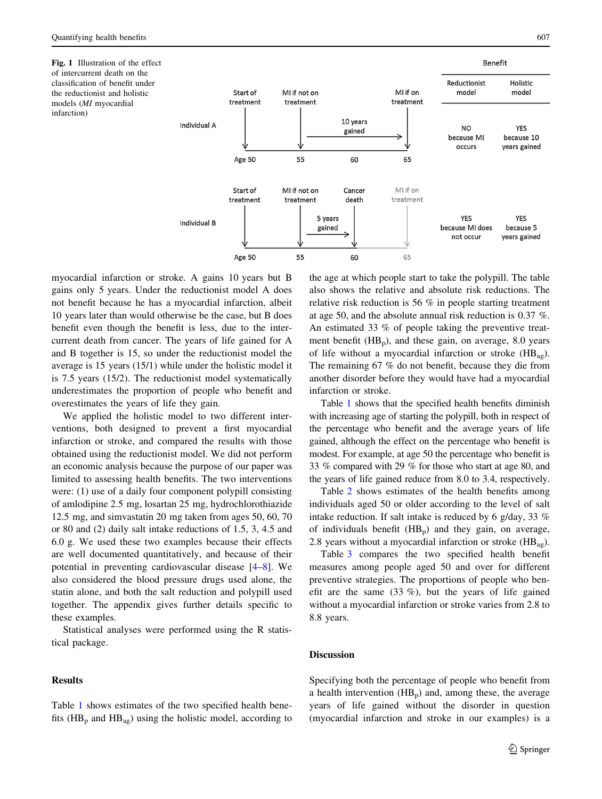<span id="page-2-0"></span>



myocardial infarction or stroke. A gains 10 years but B gains only 5 years. Under the reductionist model A does not benefit because he has a myocardial infarction, albeit 10 years later than would otherwise be the case, but B does benefit even though the benefit is less, due to the intercurrent death from cancer. The years of life gained for A and B together is 15, so under the reductionist model the average is 15 years (15/1) while under the holistic model it is 7.5 years (15/2). The reductionist model systematically underestimates the proportion of people who benefit and overestimates the years of life they gain.

We applied the holistic model to two different interventions, both designed to prevent a first myocardial infarction or stroke, and compared the results with those obtained using the reductionist model. We did not perform an economic analysis because the purpose of our paper was limited to assessing health benefits. The two interventions were: (1) use of a daily four component polypill consisting of amlodipine 2.5 mg, losartan 25 mg, hydrochlorothiazide 12.5 mg, and simvastatin 20 mg taken from ages 50, 60, 70 or 80 and (2) daily salt intake reductions of 1.5, 3, 4.5 and 6.0 g. We used these two examples because their effects are well documented quantitatively, and because of their potential in preventing cardiovascular disease [[4–8\]](#page-7-0). We also considered the blood pressure drugs used alone, the statin alone, and both the salt reduction and polypill used together. The appendix gives further details specific to these examples.

Statistical analyses were performed using the R statistical package.

#### Results

Table [1](#page-3-0) shows estimates of the two specified health benefits ( $HB<sub>p</sub>$  and  $HB<sub>ag</sub>$ ) using the holistic model, according to the age at which people start to take the polypill. The table also shows the relative and absolute risk reductions. The relative risk reduction is 56 % in people starting treatment at age 50, and the absolute annual risk reduction is 0.37 %. An estimated 33 % of people taking the preventive treatment benefit  $(HB_p)$ , and these gain, on average, 8.0 years of life without a myocardial infarction or stroke  $(HB_{a\sigma})$ . The remaining 67 % do not benefit, because they die from another disorder before they would have had a myocardial infarction or stroke.

Table [1](#page-3-0) shows that the specified health benefits diminish with increasing age of starting the polypill, both in respect of the percentage who benefit and the average years of life gained, although the effect on the percentage who benefit is modest. For example, at age 50 the percentage who benefit is 33 % compared with 29 % for those who start at age 80, and the years of life gained reduce from 8.0 to 3.4, respectively.

Table [2](#page-3-0) shows estimates of the health benefits among individuals aged 50 or older according to the level of salt intake reduction. If salt intake is reduced by 6 g/day, 33 % of individuals benefit  $(HB_p)$  and they gain, on average, 2.8 years without a myocardial infarction or stroke  $(HB_{a\sigma})$ .

Table [3](#page-3-0) compares the two specified health benefit measures among people aged 50 and over for different preventive strategies. The proportions of people who benefit are the same  $(33 \%)$ , but the years of life gained without a myocardial infarction or stroke varies from 2.8 to 8.8 years.

### Discussion

Specifying both the percentage of people who benefit from a health intervention  $(HB_p)$  and, among these, the average years of life gained without the disorder in question (myocardial infarction and stroke in our examples) is a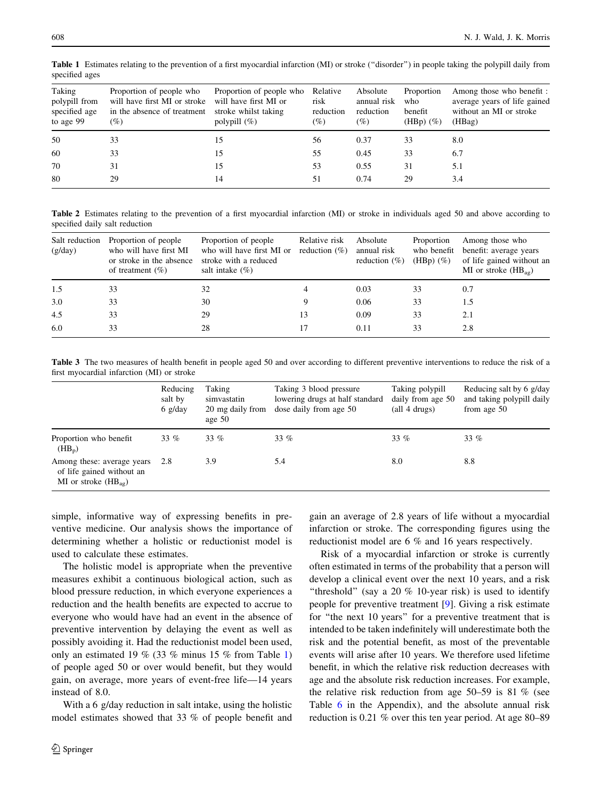| Taking<br>polypill from<br>specified age<br>to age 99 | Proportion of people who<br>will have first MI or stroke<br>in the absence of treatment<br>(%) | Proportion of people who<br>will have first MI or<br>stroke whilst taking<br>polypill $(\%)$ | Relative<br>risk<br>reduction<br>$(\%)$ | Absolute<br>annual risk<br>reduction<br>$(\%)$ | Proportion<br>who<br>benefit<br>$(HBp)$ $(\%)$ | Among those who benefit :<br>average years of life gained<br>without an MI or stroke<br>(HBag) |
|-------------------------------------------------------|------------------------------------------------------------------------------------------------|----------------------------------------------------------------------------------------------|-----------------------------------------|------------------------------------------------|------------------------------------------------|------------------------------------------------------------------------------------------------|
| 50                                                    | 33                                                                                             | 15                                                                                           | 56                                      | 0.37                                           | 33                                             | 8.0                                                                                            |
| 60                                                    | 33                                                                                             | 15                                                                                           | 55                                      | 0.45                                           | 33                                             | 6.7                                                                                            |
| 70                                                    | 31                                                                                             | 15                                                                                           | 53                                      | 0.55                                           | 31                                             | 5.1                                                                                            |
| 80                                                    | 29                                                                                             | 14                                                                                           | 51                                      | 0.74                                           | 29                                             | 3.4                                                                                            |
|                                                       |                                                                                                |                                                                                              |                                         |                                                |                                                |                                                                                                |

<span id="page-3-0"></span>Table 1 Estimates relating to the prevention of a first myocardial infarction (MI) or stroke ("disorder") in people taking the polypill daily from specified ages

Table 2 Estimates relating to the prevention of a first myocardial infarction (MI) or stroke in individuals aged 50 and above according to specified daily salt reduction

| Salt reduction<br>(g/day) | Proportion of people<br>who will have first MI<br>or stroke in the absence<br>of treatment $(\% )$ | Proportion of people<br>who will have first MI or<br>stroke with a reduced<br>salt intake $(\% )$ | Relative risk<br>reduction $(\%)$ | Absolute<br>annual risk<br>reduction $(\% )$ | Proportion<br>who benefit<br>$(HBp)$ $(\%)$ | Among those who<br>benefit: average years<br>of life gained without an<br>MI or stroke $(HB_{a\sigma})$ |
|---------------------------|----------------------------------------------------------------------------------------------------|---------------------------------------------------------------------------------------------------|-----------------------------------|----------------------------------------------|---------------------------------------------|---------------------------------------------------------------------------------------------------------|
| 1.5                       | 33                                                                                                 | 32                                                                                                |                                   | 0.03                                         | 33                                          | 0.7                                                                                                     |
| 3.0                       | 33                                                                                                 | 30                                                                                                | 9                                 | 0.06                                         | 33                                          | 1.5                                                                                                     |
| 4.5                       | 33                                                                                                 | 29                                                                                                | 13                                | 0.09                                         | 33                                          | 2.1                                                                                                     |
| 6.0                       | 33                                                                                                 | 28                                                                                                |                                   | 0.11                                         | 33                                          | 2.8                                                                                                     |

Table 3 The two measures of health benefit in people aged 50 and over according to different preventive interventions to reduce the risk of a first myocardial infarction (MI) or stroke

|                                                                                          | Reducing<br>salt by<br>$6$ g/day | Taking<br>simvastatin<br>20 mg daily from<br>age $50$ | Taking 3 blood pressure<br>lowering drugs at half standard<br>dose daily from age 50 | Taking polypill<br>daily from age 50<br>$\text{(all 4 drugs)}$ | Reducing salt by 6 g/day<br>and taking polypill daily<br>from age 50 |
|------------------------------------------------------------------------------------------|----------------------------------|-------------------------------------------------------|--------------------------------------------------------------------------------------|----------------------------------------------------------------|----------------------------------------------------------------------|
| Proportion who benefit<br>$(HB_n)$                                                       | 33 $%$                           | $33\%$                                                | $33\%$                                                                               | $33\%$                                                         | 33 $%$                                                               |
| Among these: average years<br>of life gained without an<br>MI or stroke $(HB_{a\sigma})$ | 2.8                              | 3.9                                                   | 5.4                                                                                  | 8.0                                                            | 8.8                                                                  |

simple, informative way of expressing benefits in preventive medicine. Our analysis shows the importance of determining whether a holistic or reductionist model is used to calculate these estimates.

The holistic model is appropriate when the preventive measures exhibit a continuous biological action, such as blood pressure reduction, in which everyone experiences a reduction and the health benefits are expected to accrue to everyone who would have had an event in the absence of preventive intervention by delaying the event as well as possibly avoiding it. Had the reductionist model been used, only an estimated 19 % (33 % minus 15 % from Table 1) of people aged 50 or over would benefit, but they would gain, on average, more years of event-free life—14 years instead of 8.0.

With a 6 g/day reduction in salt intake, using the holistic model estimates showed that 33 % of people benefit and gain an average of 2.8 years of life without a myocardial infarction or stroke. The corresponding figures using the reductionist model are 6 % and 16 years respectively.

Risk of a myocardial infarction or stroke is currently often estimated in terms of the probability that a person will develop a clinical event over the next 10 years, and a risk "threshold" (say a 20 % 10-year risk) is used to identify people for preventive treatment [\[9](#page-7-0)]. Giving a risk estimate for ''the next 10 years'' for a preventive treatment that is intended to be taken indefinitely will underestimate both the risk and the potential benefit, as most of the preventable events will arise after 10 years. We therefore used lifetime benefit, in which the relative risk reduction decreases with age and the absolute risk reduction increases. For example, the relative risk reduction from age 50–59 is 81 % (see Table [6](#page-6-0) in the Appendix), and the absolute annual risk reduction is 0.21 % over this ten year period. At age 80–89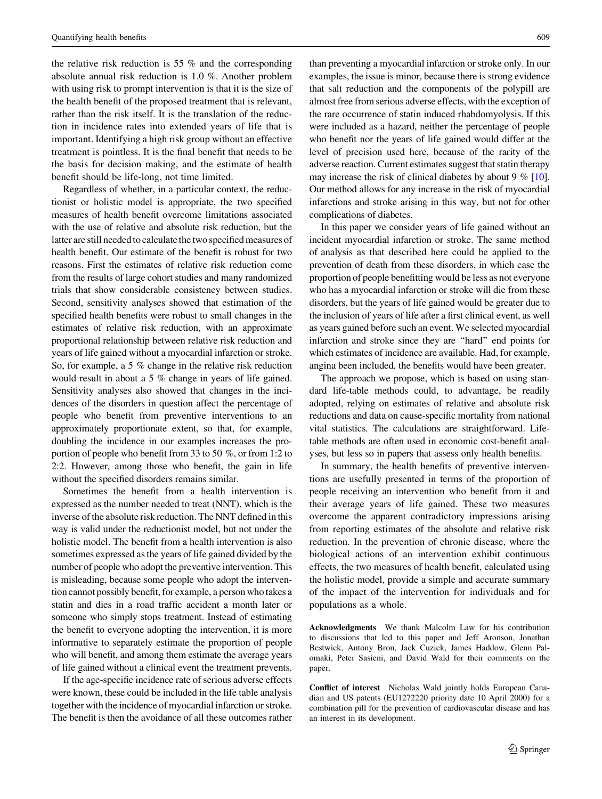the relative risk reduction is 55 % and the corresponding absolute annual risk reduction is 1.0 %. Another problem with using risk to prompt intervention is that it is the size of the health benefit of the proposed treatment that is relevant, rather than the risk itself. It is the translation of the reduction in incidence rates into extended years of life that is important. Identifying a high risk group without an effective treatment is pointless. It is the final benefit that needs to be the basis for decision making, and the estimate of health benefit should be life-long, not time limited.

Regardless of whether, in a particular context, the reductionist or holistic model is appropriate, the two specified measures of health benefit overcome limitations associated with the use of relative and absolute risk reduction, but the latter are still needed to calculate the two specified measures of health benefit. Our estimate of the benefit is robust for two reasons. First the estimates of relative risk reduction come from the results of large cohort studies and many randomized trials that show considerable consistency between studies. Second, sensitivity analyses showed that estimation of the specified health benefits were robust to small changes in the estimates of relative risk reduction, with an approximate proportional relationship between relative risk reduction and years of life gained without a myocardial infarction or stroke. So, for example, a 5 % change in the relative risk reduction would result in about a 5 % change in years of life gained. Sensitivity analyses also showed that changes in the incidences of the disorders in question affect the percentage of people who benefit from preventive interventions to an approximately proportionate extent, so that, for example, doubling the incidence in our examples increases the proportion of people who benefit from 33 to 50 %, or from 1:2 to 2:2. However, among those who benefit, the gain in life without the specified disorders remains similar.

Sometimes the benefit from a health intervention is expressed as the number needed to treat (NNT), which is the inverse of the absolute risk reduction. The NNT defined in this way is valid under the reductionist model, but not under the holistic model. The benefit from a health intervention is also sometimes expressed as the years of life gained divided by the number of people who adopt the preventive intervention. This is misleading, because some people who adopt the intervention cannot possibly benefit, for example, a person who takes a statin and dies in a road traffic accident a month later or someone who simply stops treatment. Instead of estimating the benefit to everyone adopting the intervention, it is more informative to separately estimate the proportion of people who will benefit, and among them estimate the average years of life gained without a clinical event the treatment prevents.

If the age-specific incidence rate of serious adverse effects were known, these could be included in the life table analysis together with the incidence of myocardial infarction or stroke. The benefit is then the avoidance of all these outcomes rather than preventing a myocardial infarction or stroke only. In our examples, the issue is minor, because there is strong evidence that salt reduction and the components of the polypill are almost free from serious adverse effects, with the exception of the rare occurrence of statin induced rhabdomyolysis. If this were included as a hazard, neither the percentage of people who benefit nor the years of life gained would differ at the level of precision used here, because of the rarity of the adverse reaction. Current estimates suggest that statin therapy may increase the risk of clinical diabetes by about 9 % [[10\]](#page-7-0). Our method allows for any increase in the risk of myocardial infarctions and stroke arising in this way, but not for other complications of diabetes.

In this paper we consider years of life gained without an incident myocardial infarction or stroke. The same method of analysis as that described here could be applied to the prevention of death from these disorders, in which case the proportion of people benefitting would be less as not everyone who has a myocardial infarction or stroke will die from these disorders, but the years of life gained would be greater due to the inclusion of years of life after a first clinical event, as well as years gained before such an event. We selected myocardial infarction and stroke since they are ''hard'' end points for which estimates of incidence are available. Had, for example, angina been included, the benefits would have been greater.

The approach we propose, which is based on using standard life-table methods could, to advantage, be readily adopted, relying on estimates of relative and absolute risk reductions and data on cause-specific mortality from national vital statistics. The calculations are straightforward. Lifetable methods are often used in economic cost-benefit analyses, but less so in papers that assess only health benefits.

In summary, the health benefits of preventive interventions are usefully presented in terms of the proportion of people receiving an intervention who benefit from it and their average years of life gained. These two measures overcome the apparent contradictory impressions arising from reporting estimates of the absolute and relative risk reduction. In the prevention of chronic disease, where the biological actions of an intervention exhibit continuous effects, the two measures of health benefit, calculated using the holistic model, provide a simple and accurate summary of the impact of the intervention for individuals and for populations as a whole.

Acknowledgments We thank Malcolm Law for his contribution to discussions that led to this paper and Jeff Aronson, Jonathan Bestwick, Antony Bron, Jack Cuzick, James Haddow, Glenn Palomaki, Peter Sasieni, and David Wald for their comments on the paper.

Conflict of interest Nicholas Wald jointly holds European Canadian and US patents (EU1272220 priority date 10 April 2000) for a combination pill for the prevention of cardiovascular disease and has an interest in its development.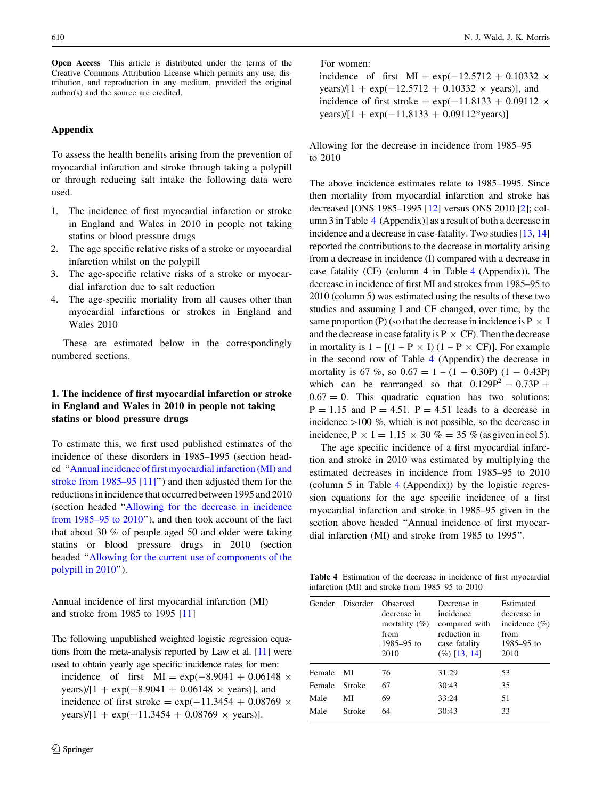<span id="page-5-0"></span>Open Access This article is distributed under the terms of the Creative Commons Attribution License which permits any use, distribution, and reproduction in any medium, provided the original author(s) and the source are credited.

#### Appendix

To assess the health benefits arising from the prevention of myocardial infarction and stroke through taking a polypill or through reducing salt intake the following data were used.

- 1. The incidence of first myocardial infarction or stroke in England and Wales in 2010 in people not taking statins or blood pressure drugs
- 2. The age specific relative risks of a stroke or myocardial infarction whilst on the polypill
- 3. The age-specific relative risks of a stroke or myocardial infarction due to salt reduction
- 4. The age-specific mortality from all causes other than myocardial infarctions or strokes in England and Wales 2010

These are estimated below in the correspondingly numbered sections.

## 1. The incidence of first myocardial infarction or stroke in England and Wales in 2010 in people not taking statins or blood pressure drugs

To estimate this, we first used published estimates of the incidence of these disorders in 1985–1995 (section headed ''Annual incidence of first myocardial infarction (MI) and stroke from 1985–95 [11]'') and then adjusted them for the reductions in incidence that occurred between 1995 and 2010 (section headed ''Allowing for the decrease in incidence from 1985–95 to 2010''), and then took account of the fact that about 30 % of people aged 50 and older were taking statins or blood pressure drugs in 2010 (section headed '['Allowing for the current use of components of the](#page-6-0) [polypill in 2010'](#page-6-0)').

Annual incidence of first myocardial infarction (MI) and stroke from 1985 to 1995 [\[11](#page-7-0)]

The following unpublished weighted logistic regression equations from the meta-analysis reported by Law et al. [\[11](#page-7-0)] were used to obtain yearly age specific incidence rates for men:

incidence of first  $MI = \exp(-8.9041 + 0.06148 \times$ years)/ $[1 + \exp(-8.9041 + 0.06148 \times \text{years})]$ , and incidence of first stroke =  $\exp(-11.3454 + 0.08769 \times$ years)/ $[1 + \exp(-11.3454 + 0.08769 \times \text{years})]$ .

For women:

incidence of first  $MI = exp(-12.5712 + 0.10332 \times$ years)/[1 + exp( $-12.5712 + 0.10332 \times$  years)], and incidence of first stroke =  $\exp(-11.8133 + 0.09112 \times$ years)/ $[1 + \exp(-11.8133 + 0.09112*)$ years)]

Allowing for the decrease in incidence from 1985–95 to 2010

The above incidence estimates relate to 1985–1995. Since then mortality from myocardial infarction and stroke has decreased [ONS 1985–1995 [\[12](#page-7-0)] versus ONS 2010 [\[2](#page-7-0)]; column 3 in Table 4 (Appendix)] as a result of both a decrease in incidence and a decrease in case-fatality. Two studies [\[13,](#page-7-0) [14\]](#page-7-0) reported the contributions to the decrease in mortality arising from a decrease in incidence (I) compared with a decrease in case fatality (CF) (column 4 in Table 4 (Appendix)). The decrease in incidence of first MI and strokes from 1985–95 to 2010 (column 5) was estimated using the results of these two studies and assuming I and CF changed, over time, by the same proportion (P) (so that the decrease in incidence is  $P \times I$ and the decrease in case fatality is  $P \times CF$ ). Then the decrease in mortality is  $1 - [(1 - P \times I) (1 - P \times CF)]$ . For example in the second row of Table 4 (Appendix) the decrease in mortality is 67 %, so  $0.67 = 1 - (1 - 0.30P) (1 - 0.43P)$ which can be rearranged so that  $0.129P^2 - 0.73P +$  $0.67 = 0$ . This quadratic equation has two solutions;  $P = 1.15$  and  $P = 4.51$ .  $P = 4.51$  leads to a decrease in incidence  $>100$  %, which is not possible, so the decrease in incidence,  $P \times I = 1.15 \times 30 \% = 35 \%$  (as given in col 5).

The age specific incidence of a first myocardial infarction and stroke in 2010 was estimated by multiplying the estimated decreases in incidence from 1985–95 to 2010 (column 5 in Table 4 (Appendix)) by the logistic regression equations for the age specific incidence of a first myocardial infarction and stroke in 1985–95 given in the section above headed ''Annual incidence of first myocardial infarction (MI) and stroke from 1985 to 1995''.

Table 4 Estimation of the decrease in incidence of first myocardial infarction (MI) and stroke from 1985–95 to 2010

| Gender | Disorder | Observed<br>decrease in<br>mortality $(\%)$<br>from<br>$1985 - 95$ to<br>2010 | Decrease in<br>incidence<br>compared with<br>reduction in<br>case fatality<br>$(\%)$ [13, 14] | Estimated<br>decrease in<br>incidence $(\%)$<br>from<br>$1985 - 95$ to<br>2010 |
|--------|----------|-------------------------------------------------------------------------------|-----------------------------------------------------------------------------------------------|--------------------------------------------------------------------------------|
| Female | MI       | 76                                                                            | 31:29                                                                                         | 53                                                                             |
| Female | Stroke   | 67                                                                            | 30:43                                                                                         | 35                                                                             |
| Male   | МI       | 69                                                                            | 33:24                                                                                         | 51                                                                             |
| Male   | Stroke   | 64                                                                            | 30:43                                                                                         | 33                                                                             |
|        |          |                                                                               |                                                                                               |                                                                                |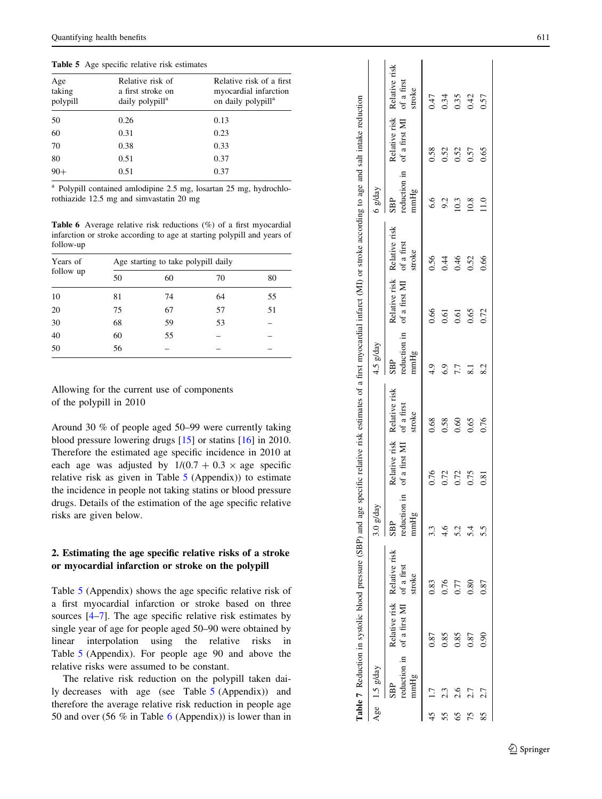<span id="page-6-0"></span>Table 5 Age specific relative risk estimates

| Age<br>taking<br>polypill | Relative risk of<br>a first stroke on<br>daily polypill <sup>a</sup> | Relative risk of a first<br>myocardial infarction<br>on daily polypill <sup>a</sup> |
|---------------------------|----------------------------------------------------------------------|-------------------------------------------------------------------------------------|
| 50                        | 0.26                                                                 | 0.13                                                                                |
| 60                        | 0.31                                                                 | 0.23                                                                                |
| 70                        | 0.38                                                                 | 0.33                                                                                |
| 80                        | 0.51                                                                 | 0.37                                                                                |
|                           | 0.51                                                                 | 0.37                                                                                |
|                           |                                                                      |                                                                                     |

<sup>a</sup> Polypill contained amlodipine 2.5 mg, losartan 25 mg, hydrochlorothiazide 12.5 mg and simvastatin 20 mg

Table 6 Average relative risk reductions (%) of a first myocardial infarction or stroke according to age at starting polypill and years of follow-up

| Years of  |    | Age starting to take polypill daily |    |    |
|-----------|----|-------------------------------------|----|----|
| follow up | 50 | 60                                  | 70 | 80 |
| 10        | 81 | 74                                  | 64 | 55 |
| 20        | 75 | 67                                  | 57 | 51 |
| 30        | 68 | 59                                  | 53 |    |
| 40        | 60 | 55                                  |    |    |
| 50        | 56 |                                     |    |    |

Allowing for the current use of components of the polypill in 2010

Around 30 % of people aged 50–99 were currently taking blood pressure lowering drugs [[15\]](#page-7-0) or statins [[16\]](#page-7-0) in 2010. Therefore the estimated age specific incidence in 2010 at each age was adjusted by  $1/(0.7 + 0.3 \times \text{age specific})$ relative risk as given in Table 5 (Appendix)) to estimate the incidence in people not taking statins or blood pressure drugs. Details of the estimation of the age specific relative risks are given below.

## 2. Estimating the age specific relative risks of a stroke or myocardial infarction or stroke on the polypill

Table 5 (Appendix) shows the age specific relative risk of a first myocardial infarction or stroke based on three sources [[4](#page-7-0)–[7](#page-7-0)]. The age specific relative risk estimates by single year of age for people aged 50–90 were obtained by linear interpolation using the relative risks in Table 5 (Appendix). For people age 90 and above the relative risks were assumed to be constant.

The relative risk reduction on the polypill taken daily decreases with age (see Table 5 (Appendix)) and therefore the average relative risk reduction in people age 50 and over (56 % in Table 6 (Appendix)) is lower than in

|               |                                                                      | Table 7 Reduction in systolic blood pressure (SBP) and age specific relative risk estimates of a first myocardial infarct (MI) or stroke according to age and salt intake reduction |                 |                                                                      |        |               |                                                                      |        |                 |                                                                      |        |
|---------------|----------------------------------------------------------------------|-------------------------------------------------------------------------------------------------------------------------------------------------------------------------------------|-----------------|----------------------------------------------------------------------|--------|---------------|----------------------------------------------------------------------|--------|-----------------|----------------------------------------------------------------------|--------|
| Age 1.5 g/day |                                                                      |                                                                                                                                                                                     | $3.0$ g/day     |                                                                      |        | 4.5 g/day     |                                                                      |        | 6 g/day         |                                                                      |        |
| mmHg<br>SBP   | Relative risk Relative risk<br>reduction in of a first MI of a first | stroke                                                                                                                                                                              | $m m$ Hg<br>SBP | Relative risk Relative risk<br>reduction in of a first MI of a first | stroke | mmHg<br>SBP   | Relative risk Relative risk<br>reduction in of a first MI of a first | stroke | $m m$ Hg<br>SBP | Relative risk Relative risk<br>reduction in of a first MI of a first | stroke |
|               | 0.87                                                                 | 0.83                                                                                                                                                                                |                 | 0.76                                                                 | 0.68   | $\frac{4}{9}$ | 0.66                                                                 | 0.56   | $\frac{6}{6}$   | 0.58                                                                 | 0.47   |
| 23            | 0.85                                                                 | 0.76                                                                                                                                                                                |                 | 0.72                                                                 | 0.58   | $\frac{6}{9}$ | 0.61                                                                 | 0.44   | 9.2             | 0.52                                                                 | 0.34   |
|               | 0.85                                                                 | 177                                                                                                                                                                                 |                 | 0.72                                                                 | 0.60   |               | 0.61                                                                 | 0.46   | 10.3            | 0.52                                                                 | 0.35   |
|               | 0.87                                                                 | $_{\rm 0.80}$                                                                                                                                                                       |                 | 0.75                                                                 | 0.65   |               | 0.65                                                                 | 0.52   | 10.8            | 0.57                                                                 | 0.42   |
|               | ୨ଁ                                                                   | 0.87                                                                                                                                                                                |                 | 0.81                                                                 | 0.76   | 8.2           | 0.72                                                                 | 0.66   | $\frac{0}{11}$  | 0.65                                                                 | 0.57   |
|               |                                                                      |                                                                                                                                                                                     |                 |                                                                      |        |               |                                                                      |        |                 |                                                                      |        |